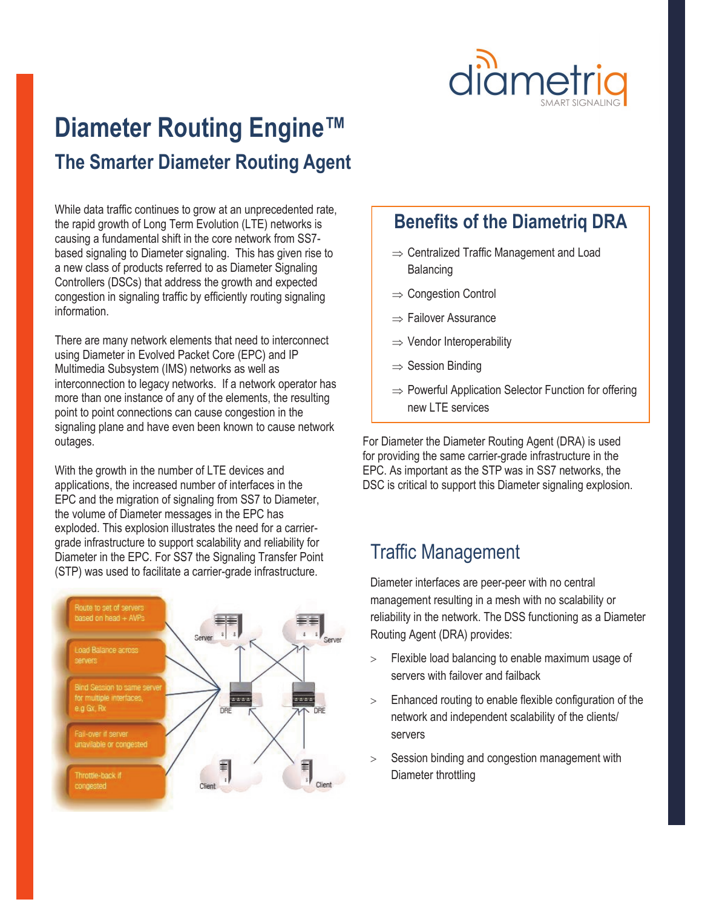

# **Diameter Routing Engine™ The Smarter Diameter Routing Agent**

While data traffic continues to grow at an unprecedented rate, the rapid growth of Long Term Evolution (LTE) networks is causing a fundamental shift in the core network from SS7 based signaling to Diameter signaling. This has given rise to a new class of products referred to as Diameter Signaling Controllers (DSCs) that address the growth and expected congestion in signaling traffic by efficiently routing signaling information.

There are many network elements that need to interconnect using Diameter in Evolved Packet Core (EPC) and IP Multimedia Subsystem (IMS) networks as well as interconnection to legacy networks. If a network operator has more than one instance of any of the elements, the resulting point to point connections can cause congestion in the signaling plane and have even been known to cause network outages.

With the growth in the number of LTE devices and applications, the increased number of interfaces in the EPC and the migration of signaling from SS7 to Diameter, the volume of Diameter messages in the EPC has exploded. This explosion illustrates the need for a carriergrade infrastructure to support scalability and reliability for Diameter in the EPC. For SS7 the Signaling Transfer Point (STP) was used to facilitate a carrier-grade infrastructure.



## **Benefits of the Diametriq DRA**

- $\Rightarrow$  Centralized Traffic Management and Load Balancing
- $\Rightarrow$  Congestion Control
- $\Rightarrow$  Failover Assurance
- $\Rightarrow$  Vendor Interoperability
- $\Rightarrow$  Session Binding
- $\Rightarrow$  Powerful Application Selector Function for offering new LTE services

For Diameter the Diameter Routing Agent (DRA) is used for providing the same carrier-grade infrastructure in the EPC. As important as the STP was in SS7 networks, the DSC is critical to support this Diameter signaling explosion.

## Traffic Management

Diameter interfaces are peer-peer with no central management resulting in a mesh with no scalability or reliability in the network. The DSS functioning as a Diameter Routing Agent (DRA) provides:

- > Flexible load balancing to enable maximum usage of servers with failover and failback
- > Enhanced routing to enable flexible configuration of the network and independent scalability of the clients/ servers
- > Session binding and congestion management with Diameter throttling